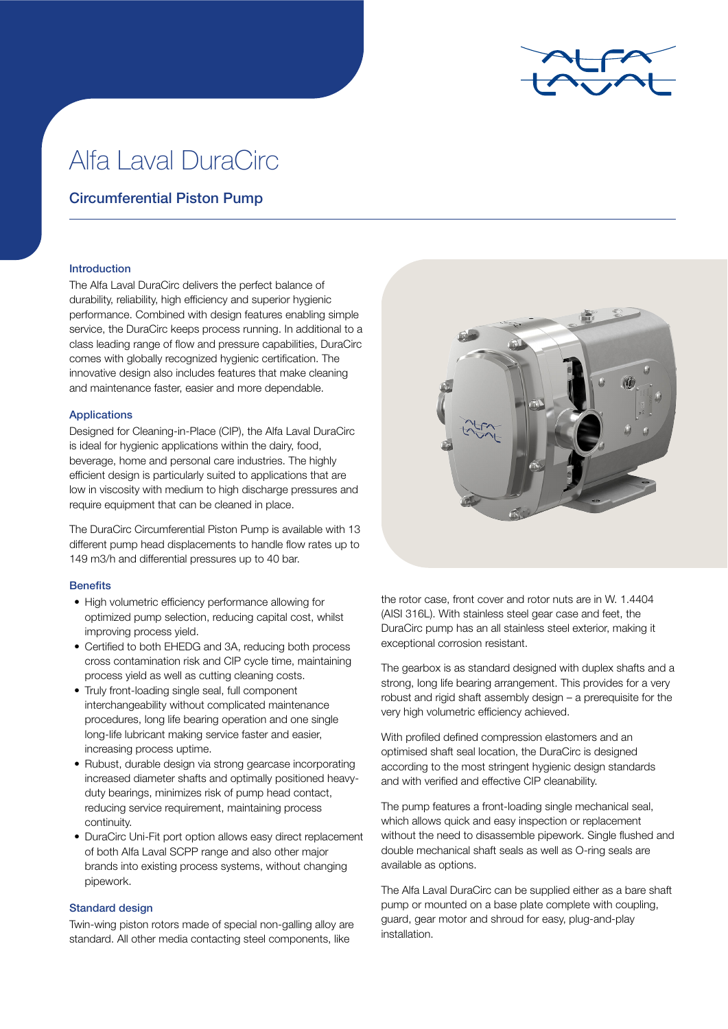

# Alfa Laval DuraCirc

## Circumferential Piston Pump

#### Introduction

The Alfa Laval DuraCirc delivers the perfect balance of durability, reliability, high efficiency and superior hygienic performance. Combined with design features enabling simple service, the DuraCirc keeps process running. In additional to a class leading range of flow and pressure capabilities, DuraCirc comes with globally recognized hygienic certification. The innovative design also includes features that make cleaning and maintenance faster, easier and more dependable.

## Applications

Designed for Cleaning-in-Place (CIP), the Alfa Laval DuraCirc is ideal for hygienic applications within the dairy, food, beverage, home and personal care industries. The highly efficient design is particularly suited to applications that are low in viscosity with medium to high discharge pressures and require equipment that can be cleaned in place.

The DuraCirc Circumferential Piston Pump is available with 13 different pump head displacements to handle flow rates up to 149 m3/h and differential pressures up to 40 bar.

## **Benefits**

- High volumetric efficiency performance allowing for optimized pump selection, reducing capital cost, whilst improving process yield.
- Certified to both EHEDG and 3A, reducing both process cross contamination risk and CIP cycle time, maintaining process yield as well as cutting cleaning costs.
- Truly front-loading single seal, full component interchangeability without complicated maintenance procedures, long life bearing operation and one single long-life lubricant making service faster and easier, increasing process uptime.
- Rubust, durable design via strong gearcase incorporating increased diameter shafts and optimally positioned heavyduty bearings, minimizes risk of pump head contact, reducing service requirement, maintaining process continuity.
- DuraCirc Uni-Fit port option allows easy direct replacement of both Alfa Laval SCPP range and also other major brands into existing process systems, without changing pipework.

## Standard design

Twin-wing piston rotors made of special non-galling alloy are standard. All other media contacting steel components, like



the rotor case, front cover and rotor nuts are in W. 1.4404 (AISI 316L). With stainless steel gear case and feet, the DuraCirc pump has an all stainless steel exterior, making it exceptional corrosion resistant.

The gearbox is as standard designed with duplex shafts and a strong, long life bearing arrangement. This provides for a very robust and rigid shaft assembly design – a prerequisite for the very high volumetric efficiency achieved.

With profiled defined compression elastomers and an optimised shaft seal location, the DuraCirc is designed according to the most stringent hygienic design standards and with verified and effective CIP cleanability.

The pump features a front-loading single mechanical seal, which allows quick and easy inspection or replacement without the need to disassemble pipework. Single flushed and double mechanical shaft seals as well as O-ring seals are available as options.

The Alfa Laval DuraCirc can be supplied either as a bare shaft pump or mounted on a base plate complete with coupling, guard, gear motor and shroud for easy, plug-and-play installation.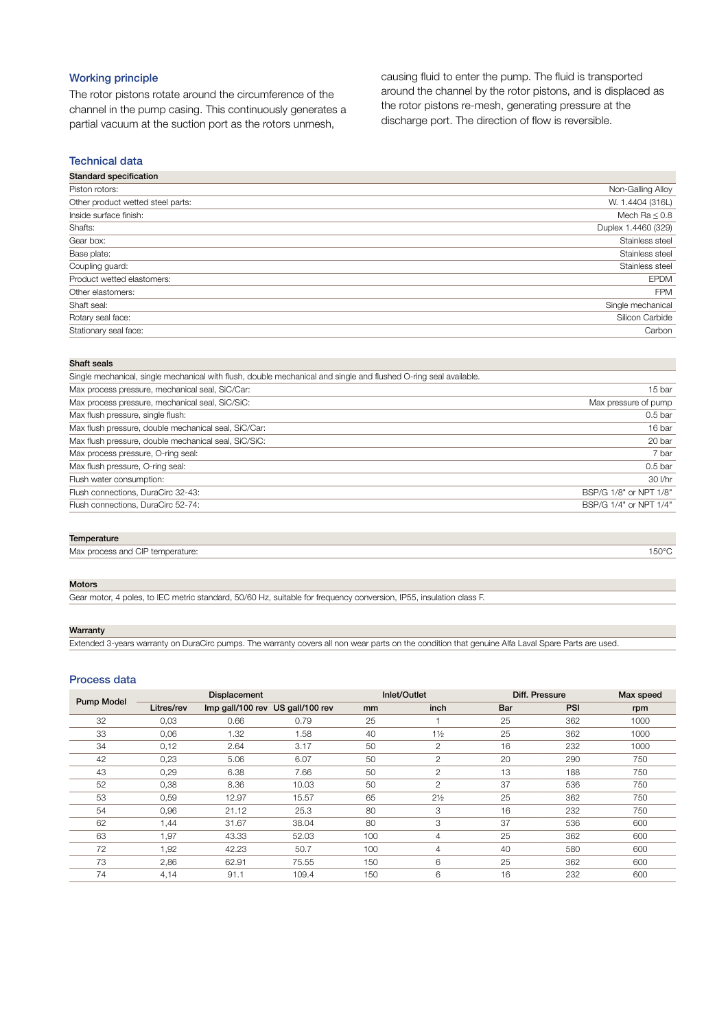## Working principle

The rotor pistons rotate around the circumference of the channel in the pump casing. This continuously generates a partial vacuum at the suction port as the rotors unmesh,

causing fluid to enter the pump. The fluid is transported around the channel by the rotor pistons, and is displaced as the rotor pistons re-mesh, generating pressure at the discharge port. The direction of flow is reversible.

#### Technical data

| <b>Standard specification</b>     |                     |
|-----------------------------------|---------------------|
| Piston rotors:                    | Non-Galling Alloy   |
| Other product wetted steel parts: | W. 1.4404 (316L)    |
| Inside surface finish:            | Mech Ra $\leq 0.8$  |
| Shafts:                           | Duplex 1.4460 (329) |
| Gear box:                         | Stainless steel     |
| Base plate:                       | Stainless steel     |
| Coupling guard:                   | Stainless steel     |
| Product wetted elastomers:        | <b>EPDM</b>         |
| Other elastomers:                 | <b>FPM</b>          |
| Shaft seal:                       | Single mechanical   |
| Rotary seal face:                 | Silicon Carbide     |
| Stationary seal face:             | Carbon              |
|                                   |                     |

#### Shaft seals

| 15 bar                 |
|------------------------|
| Max pressure of pump   |
| 0.5 <sub>bar</sub>     |
| 16 bar                 |
| 20 bar                 |
| 7 bar                  |
| 0.5 <sub>bar</sub>     |
| 30 l/hr                |
| BSP/G 1/8" or NPT 1/8" |
| BSP/G 1/4" or NPT 1/4" |
|                        |

#### **Temperature**

Max process and CIP temperature: 150°C and  $\sim$  150°C and  $\sim$  150°C and  $\sim$  150°C and  $\sim$  150°C and  $\sim$  150°C and  $\sim$  150°C and  $\sim$  150°C and  $\sim$  150°C and  $\sim$  150°C and  $\sim$  150°C and  $\sim$  150°C and  $\sim$  150°C and

#### Motors

Gear motor, 4 poles, to IEC metric standard, 50/60 Hz, suitable for frequency conversion, IP55, insulation class F.

#### Warranty

Extended 3-years warranty on DuraCirc pumps. The warranty covers all non wear parts on the condition that genuine Alfa Laval Spare Parts are used.

#### Process data

| <b>Pump Model</b> |            | <b>Displacement</b>              |       |     | Inlet/Outlet   | Diff. Pressure | Max speed  |      |  |
|-------------------|------------|----------------------------------|-------|-----|----------------|----------------|------------|------|--|
|                   | Litres/rev | Imp gall/100 rev US gall/100 rev |       | mm  | inch           | Bar            | <b>PSI</b> | rpm  |  |
| 32                | 0,03       | 0.66                             | 0.79  | 25  |                | 25             | 362        | 1000 |  |
| 33                | 0,06       | 1.32                             | 1.58  | 40  | $1\frac{1}{2}$ | 25             | 362        | 1000 |  |
| 34                | 0,12       | 2.64                             | 3.17  | 50  | $\mathbf{2}$   | 16             | 232        | 1000 |  |
| 42                | 0,23       | 5.06                             | 6.07  | 50  | $\mathbf{2}$   | 20             | 290        | 750  |  |
| 43                | 0,29       | 6.38                             | 7.66  | 50  | $\mathbf{2}$   | 13             | 188        | 750  |  |
| 52                | 0,38       | 8.36                             | 10.03 | 50  | $\mathbf{2}$   | 37             | 536        | 750  |  |
| 53                | 0,59       | 12.97                            | 15.57 | 65  | $2\frac{1}{2}$ | 25             | 362        | 750  |  |
| 54                | 0,96       | 21.12                            | 25.3  | 80  | 3              | 16             | 232        | 750  |  |
| 62                | 1,44       | 31.67                            | 38.04 | 80  | 3              | 37             | 536        | 600  |  |
| 63                | 1,97       | 43.33                            | 52.03 | 100 | $\overline{4}$ | 25             | 362        | 600  |  |
| 72                | 1,92       | 42.23                            | 50.7  | 100 | 4              | 40             | 580        | 600  |  |
| 73                | 2,86       | 62.91                            | 75.55 | 150 | 6              | 25             | 362        | 600  |  |
| 74                | 4,14       | 91.1                             | 109.4 | 150 | 6              | 16             | 232        | 600  |  |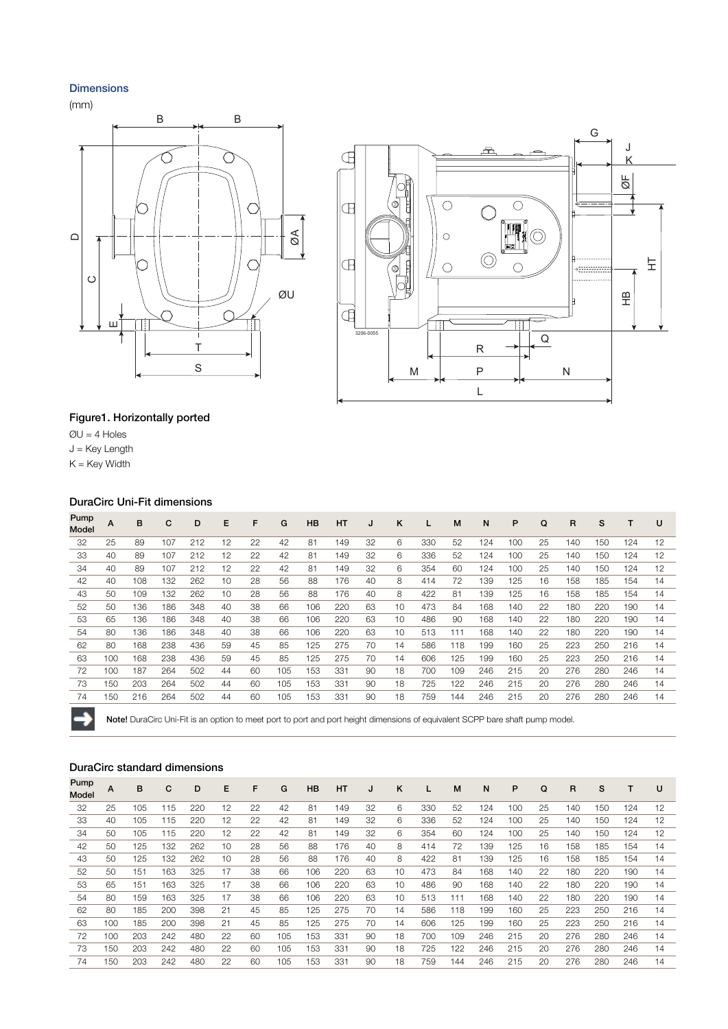## Dimensions

(mm)





## Figure1. Horizontally ported

 $QU = 4$  Holes

 $J = Key$  Length

 $K = Key$  Width

→

## DuraCirc Uni-Fit dimensions

| Pump<br>Model | A   | в   | с   | D   | Е  | F  | G   | <b>HB</b> | <b>HT</b> | J  | K  | L   | M   | N   | P   | Q  | R   | s   |     | U  |
|---------------|-----|-----|-----|-----|----|----|-----|-----------|-----------|----|----|-----|-----|-----|-----|----|-----|-----|-----|----|
| 32            | 25  | 89  | 107 | 212 | 12 | 22 | 42  | 81        | 149       | 32 | 6  | 330 | 52  | 124 | 100 | 25 | 140 | 150 | 124 | 12 |
| 33            | 40  | 89  | 107 | 212 | 12 | 22 | 42  | 81        | 149       | 32 | 6  | 336 | 52  | 124 | 100 | 25 | 140 | 150 | 124 | 12 |
| 34            | 40  | 89  | 107 | 212 | 12 | 22 | 42  | 81        | 149       | 32 | 6  | 354 | 60  | 124 | 100 | 25 | 140 | 150 | 124 | 12 |
| 42            | 40  | 108 | 132 | 262 | 10 | 28 | 56  | 88        | 176       | 40 | 8  | 414 | 72  | 139 | 125 | 16 | 158 | 185 | 154 | 14 |
| 43            | 50  | 109 | 132 | 262 | 10 | 28 | 56  | 88        | 176       | 40 | 8  | 422 | 81  | 139 | 125 | 16 | 158 | 185 | 154 | 14 |
| 52            | 50  | 136 | 186 | 348 | 40 | 38 | 66  | 106       | 220       | 63 | 10 | 473 | 84  | 168 | 140 | 22 | 180 | 220 | 190 | 14 |
| 53            | 65  | 136 | 186 | 348 | 40 | 38 | 66  | 106       | 220       | 63 | 10 | 486 | 90  | 168 | 140 | 22 | 180 | 220 | 190 | 14 |
| 54            | 80  | 136 | 186 | 348 | 40 | 38 | 66  | 106       | 220       | 63 | 10 | 513 | 111 | 168 | 140 | 22 | 180 | 220 | 190 | 14 |
| 62            | 80  | 168 | 238 | 436 | 59 | 45 | 85  | 125       | 275       | 70 | 14 | 586 | 118 | 199 | 160 | 25 | 223 | 250 | 216 | 14 |
| 63            | 100 | 168 | 238 | 436 | 59 | 45 | 85  | 125       | 275       | 70 | 14 | 606 | 125 | 199 | 160 | 25 | 223 | 250 | 216 | 14 |
| 72            | 100 | 187 | 264 | 502 | 44 | 60 | 105 | 153       | 331       | 90 | 18 | 700 | 109 | 246 | 215 | 20 | 276 | 280 | 246 | 14 |
| 73            | 150 | 203 | 264 | 502 | 44 | 60 | 105 | 153       | 331       | 90 | 18 | 725 | 122 | 246 | 215 | 20 | 276 | 280 | 246 | 14 |
| 74            | 150 | 216 | 264 | 502 | 44 | 60 | 105 | 153       | 331       | 90 | 18 | 759 | 144 | 246 | 215 | 20 | 276 | 280 | 246 | 14 |
| <b>Card</b>   |     |     |     |     |    |    |     |           |           |    |    |     |     |     |     |    |     |     |     |    |

Note! DuraCirc Uni-Fit is an option to meet port to port and port height dimensions of equivalent SCPP bare shaft pump model.

## DuraCirc standard dimensions

| Pump<br>Model | A   | B   | С   | D   | E  | F  | G   | <b>HB</b> | <b>HT</b> | u  | ĸ  |     | M   | N   | P   | Q  | R   | s   |     | U  |
|---------------|-----|-----|-----|-----|----|----|-----|-----------|-----------|----|----|-----|-----|-----|-----|----|-----|-----|-----|----|
| 32            | 25  | 105 | 115 | 220 | 12 | 22 | 42  | 81        | 149       | 32 | 6  | 330 | 52  | 124 | 100 | 25 | 140 | 150 | 124 | 12 |
| 33            | 40  | 105 | 115 | 220 | 12 | 22 | 42  | 81        | 149       | 32 | 6  | 336 | 52  | 124 | 100 | 25 | 140 | 150 | 124 | 12 |
| 34            | 50  | 105 | 115 | 220 | 12 | 22 | 42  | 81        | 149       | 32 | 6  | 354 | 60  | 124 | 100 | 25 | 140 | 150 | 124 | 12 |
| 42            | 50  | 125 | 132 | 262 | 10 | 28 | 56  | 88        | 176       | 40 | 8  | 414 | 72  | 139 | 125 | 16 | 158 | 185 | 154 | 14 |
| 43            | 50  | 125 | 132 | 262 | 10 | 28 | 56  | 88        | 176       | 40 | 8  | 422 | 81  | 139 | 125 | 16 | 158 | 185 | 154 | 14 |
| 52            | 50  | 151 | 163 | 325 | 17 | 38 | 66  | 106       | 220       | 63 | 10 | 473 | 84  | 168 | 140 | 22 | 180 | 220 | 190 | 14 |
| 53            | 65  | 151 | 163 | 325 | 17 | 38 | 66  | 106       | 220       | 63 | 10 | 486 | 90  | 168 | 140 | 22 | 180 | 220 | 190 | 14 |
| 54            | 80  | 159 | 163 | 325 | 17 | 38 | 66  | 106       | 220       | 63 | 10 | 513 | 111 | 168 | 140 | 22 | 180 | 220 | 190 | 14 |
| 62            | 80  | 185 | 200 | 398 | 21 | 45 | 85  | 125       | 275       | 70 | 14 | 586 | 118 | 199 | 160 | 25 | 223 | 250 | 216 | 14 |
| 63            | 100 | 185 | 200 | 398 | 21 | 45 | 85  | 125       | 275       | 70 | 14 | 606 | 125 | 199 | 160 | 25 | 223 | 250 | 216 | 14 |
| 72            | 100 | 203 | 242 | 480 | 22 | 60 | 105 | 153       | 331       | 90 | 18 | 700 | 109 | 246 | 215 | 20 | 276 | 280 | 246 | 14 |
| 73            | 150 | 203 | 242 | 480 | 22 | 60 | 105 | 153       | 331       | 90 | 18 | 725 | 122 | 246 | 215 | 20 | 276 | 280 | 246 | 14 |
| 74            | 150 | 203 | 242 | 480 | 22 | 60 | 105 | 153       | 331       | 90 | 18 | 759 | 144 | 246 | 215 | 20 | 276 | 280 | 246 | 14 |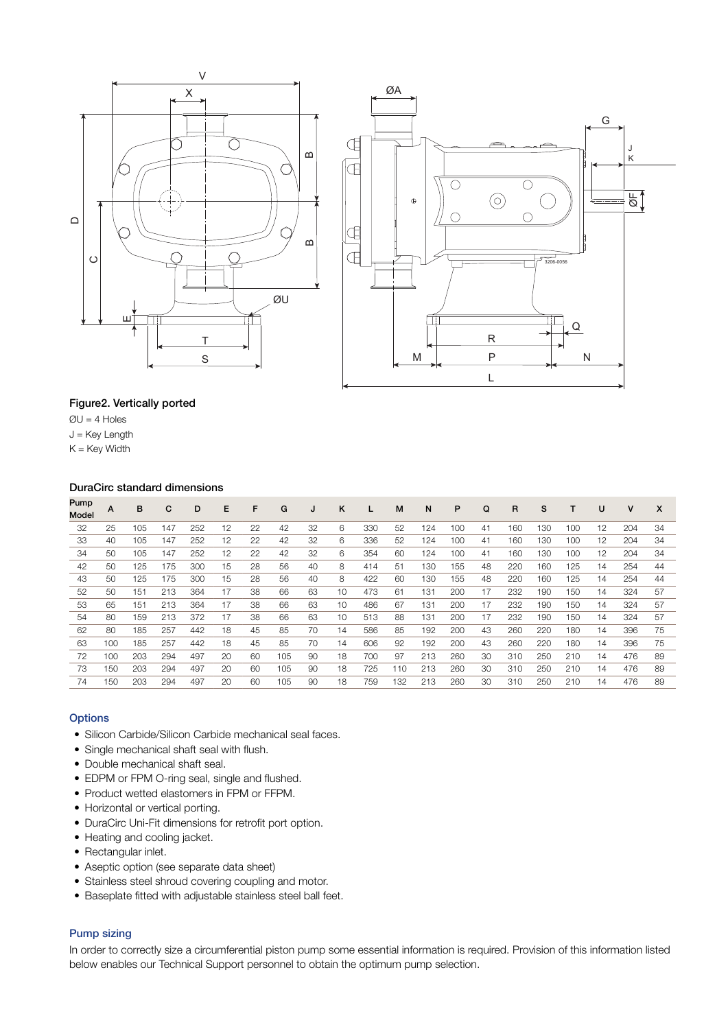



## Figure2. Vertically ported

 $QU = 4$  Holes

J = Key Length

 $K =$  Key Width

## DuraCirc standard dimensions

| Pump<br><b>Model</b> | A   | в   | С   | D   | E  | F  | G   | J  | ĸ  |     | M   | N   | P   | Q  | R   | s   |     | U  | v   | X  |
|----------------------|-----|-----|-----|-----|----|----|-----|----|----|-----|-----|-----|-----|----|-----|-----|-----|----|-----|----|
| 32                   | 25  | 105 | 147 | 252 | 12 | 22 | 42  | 32 | 6  | 330 | 52  | 124 | 100 | 41 | 160 | 130 | 100 | 12 | 204 | 34 |
| 33                   | 40  | 105 | 147 | 252 | 12 | 22 | 42  | 32 | 6  | 336 | 52  | 124 | 100 | 41 | 160 | 130 | 100 | 12 | 204 | 34 |
| 34                   | 50  | 105 | 147 | 252 | 12 | 22 | 42  | 32 | 6  | 354 | 60  | 124 | 100 | 41 | 160 | 130 | 100 | 12 | 204 | 34 |
| 42                   | 50  | 125 | 175 | 300 | 15 | 28 | 56  | 40 | 8  | 414 | 51  | 130 | 155 | 48 | 220 | 160 | 125 | 14 | 254 | 44 |
| 43                   | 50  | 125 | 175 | 300 | 15 | 28 | 56  | 40 | 8  | 422 | 60  | 130 | 155 | 48 | 220 | 160 | 125 | 14 | 254 | 44 |
| 52                   | 50  | 151 | 213 | 364 | 17 | 38 | 66  | 63 | 10 | 473 | 61  | 131 | 200 | 17 | 232 | 190 | 150 | 14 | 324 | 57 |
| 53                   | 65  | 151 | 213 | 364 | 17 | 38 | 66  | 63 | 10 | 486 | 67  | 131 | 200 | 17 | 232 | 190 | 150 | 14 | 324 | 57 |
| 54                   | 80  | 159 | 213 | 372 | 17 | 38 | 66  | 63 | 10 | 513 | 88  | 131 | 200 | 17 | 232 | 190 | 150 | 14 | 324 | 57 |
| 62                   | 80  | 185 | 257 | 442 | 18 | 45 | 85  | 70 | 14 | 586 | 85  | 192 | 200 | 43 | 260 | 220 | 180 | 14 | 396 | 75 |
| 63                   | 100 | 185 | 257 | 442 | 18 | 45 | 85  | 70 | 14 | 606 | 92  | 192 | 200 | 43 | 260 | 220 | 180 | 14 | 396 | 75 |
| 72                   | 100 | 203 | 294 | 497 | 20 | 60 | 105 | 90 | 18 | 700 | 97  | 213 | 260 | 30 | 310 | 250 | 210 | 14 | 476 | 89 |
| 73                   | 150 | 203 | 294 | 497 | 20 | 60 | 105 | 90 | 18 | 725 | 110 | 213 | 260 | 30 | 310 | 250 | 210 | 14 | 476 | 89 |
| 74                   | 150 | 203 | 294 | 497 | 20 | 60 | 105 | 90 | 18 | 759 | 132 | 213 | 260 | 30 | 310 | 250 | 210 | 14 | 476 | 89 |

## **Options**

- Silicon Carbide/Silicon Carbide mechanical seal faces.
- Single mechanical shaft seal with flush.
- Double mechanical shaft seal.
- EDPM or FPM O-ring seal, single and flushed.
- Product wetted elastomers in FPM or FFPM.
- Horizontal or vertical porting.
- DuraCirc Uni-Fit dimensions for retrofit port option.
- Heating and cooling jacket.
- Rectangular inlet.
- Aseptic option (see separate data sheet)
- Stainless steel shroud covering coupling and motor.
- Baseplate fitted with adjustable stainless steel ball feet.

## Pump sizing

In order to correctly size a circumferential piston pump some essential information is required. Provision of this information listed below enables our Technical Support personnel to obtain the optimum pump selection.